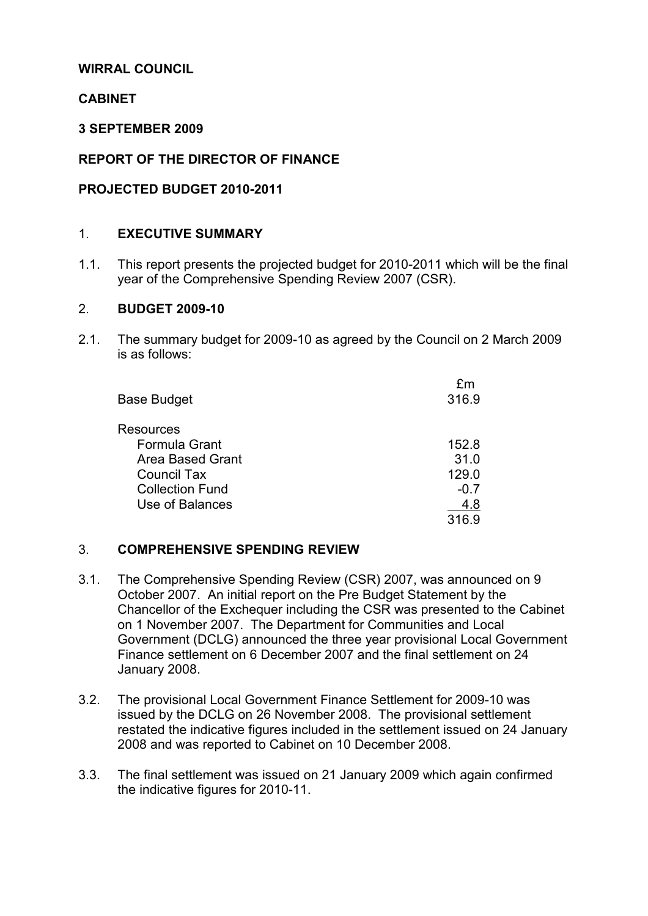### WIRRAL COUNCIL

### **CABINET**

#### 3 SEPTEMBER 2009

### REPORT OF THE DIRECTOR OF FINANCE

#### PROJECTED BUDGET 2010-2011

#### 1. EXECUTIVE SUMMARY

1.1. This report presents the projected budget for 2010-2011 which will be the final year of the Comprehensive Spending Review 2007 (CSR).

#### 2. BUDGET 2009-10

2.1. The summary budget for 2009-10 as agreed by the Council on 2 March 2009 is as follows:

| £m<br>316.9 |
|-------------|
|             |
| 152.8       |
| 31.0        |
| 129.0       |
| $-0.7$      |
| 4.8         |
| 316.9       |
|             |

#### 3. COMPREHENSIVE SPENDING REVIEW

- 3.1. The Comprehensive Spending Review (CSR) 2007, was announced on 9 October 2007. An initial report on the Pre Budget Statement by the Chancellor of the Exchequer including the CSR was presented to the Cabinet on 1 November 2007. The Department for Communities and Local Government (DCLG) announced the three year provisional Local Government Finance settlement on 6 December 2007 and the final settlement on 24 January 2008.
- 3.2. The provisional Local Government Finance Settlement for 2009-10 was issued by the DCLG on 26 November 2008. The provisional settlement restated the indicative figures included in the settlement issued on 24 January 2008 and was reported to Cabinet on 10 December 2008.
- 3.3. The final settlement was issued on 21 January 2009 which again confirmed the indicative figures for 2010-11.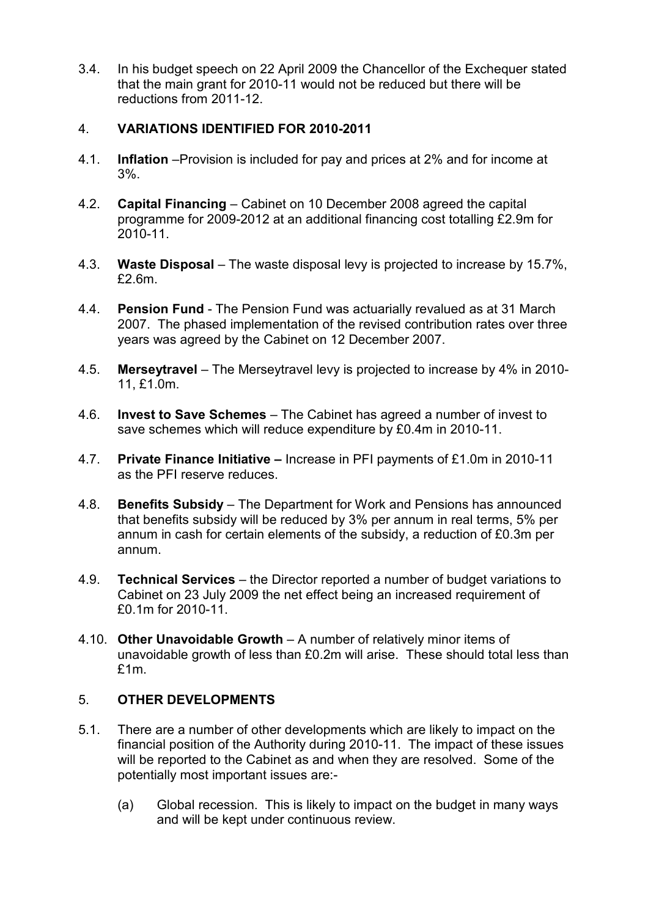3.4. In his budget speech on 22 April 2009 the Chancellor of the Exchequer stated that the main grant for 2010-11 would not be reduced but there will be reductions from 2011-12.

# 4. VARIATIONS IDENTIFIED FOR 2010-2011

- 4.1. Inflation –Provision is included for pay and prices at 2% and for income at 3%.
- 4.2. Capital Financing Cabinet on 10 December 2008 agreed the capital programme for 2009-2012 at an additional financing cost totalling £2.9m for 2010-11.
- 4.3. Waste Disposal The waste disposal levy is projected to increase by 15.7%, £2.6m.
- 4.4. Pension Fund The Pension Fund was actuarially revalued as at 31 March 2007. The phased implementation of the revised contribution rates over three years was agreed by the Cabinet on 12 December 2007.
- 4.5. Merseytravel The Merseytravel levy is projected to increase by 4% in 2010- 11, £1.0m.
- 4.6. Invest to Save Schemes The Cabinet has agreed a number of invest to save schemes which will reduce expenditure by £0.4m in 2010-11.
- 4.7. Private Finance Initiative Increase in PFI payments of £1.0m in 2010-11 as the PFI reserve reduces.
- 4.8. Benefits Subsidy The Department for Work and Pensions has announced that benefits subsidy will be reduced by 3% per annum in real terms, 5% per annum in cash for certain elements of the subsidy, a reduction of £0.3m per annum.
- 4.9. Technical Services the Director reported a number of budget variations to Cabinet on 23 July 2009 the net effect being an increased requirement of £0.1m for 2010-11.
- 4.10. Other Unavoidable Growth A number of relatively minor items of unavoidable growth of less than £0.2m will arise. These should total less than £1m.

# 5. OTHER DEVELOPMENTS

- 5.1. There are a number of other developments which are likely to impact on the financial position of the Authority during 2010-11. The impact of these issues will be reported to the Cabinet as and when they are resolved. Some of the potentially most important issues are:-
	- (a) Global recession. This is likely to impact on the budget in many ways and will be kept under continuous review.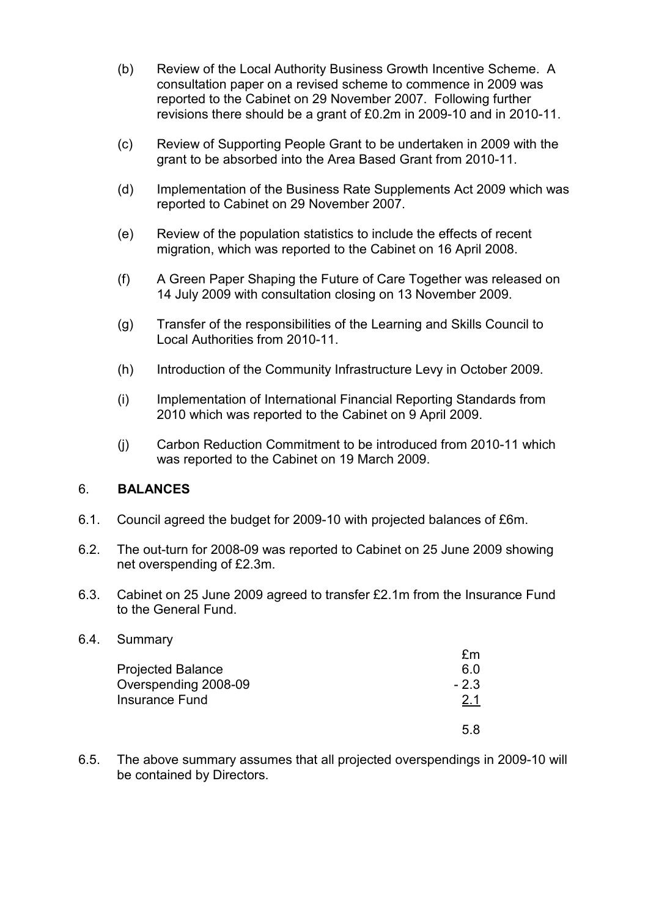- (b) Review of the Local Authority Business Growth Incentive Scheme. A consultation paper on a revised scheme to commence in 2009 was reported to the Cabinet on 29 November 2007. Following further revisions there should be a grant of £0.2m in 2009-10 and in 2010-11.
- (c) Review of Supporting People Grant to be undertaken in 2009 with the grant to be absorbed into the Area Based Grant from 2010-11.
- (d) Implementation of the Business Rate Supplements Act 2009 which was reported to Cabinet on 29 November 2007.
- (e) Review of the population statistics to include the effects of recent migration, which was reported to the Cabinet on 16 April 2008.
- (f) A Green Paper Shaping the Future of Care Together was released on 14 July 2009 with consultation closing on 13 November 2009.
- (g) Transfer of the responsibilities of the Learning and Skills Council to Local Authorities from 2010-11.
- (h) Introduction of the Community Infrastructure Levy in October 2009.
- (i) Implementation of International Financial Reporting Standards from 2010 which was reported to the Cabinet on 9 April 2009.
- (j) Carbon Reduction Commitment to be introduced from 2010-11 which was reported to the Cabinet on 19 March 2009.

# 6. BALANCES

- 6.1. Council agreed the budget for 2009-10 with projected balances of £6m.
- 6.2. The out-turn for 2008-09 was reported to Cabinet on 25 June 2009 showing net overspending of £2.3m.
- 6.3. Cabinet on 25 June 2009 agreed to transfer £2.1m from the Insurance Fund to the General Fund.

#### 6.4. Summary

|                          | £m         |
|--------------------------|------------|
| <b>Projected Balance</b> | 6.0        |
| Overspending 2008-09     | $-2.3$     |
| <b>Insurance Fund</b>    | <u>2.1</u> |
|                          | 5 R        |

6.5. The above summary assumes that all projected overspendings in 2009-10 will be contained by Directors.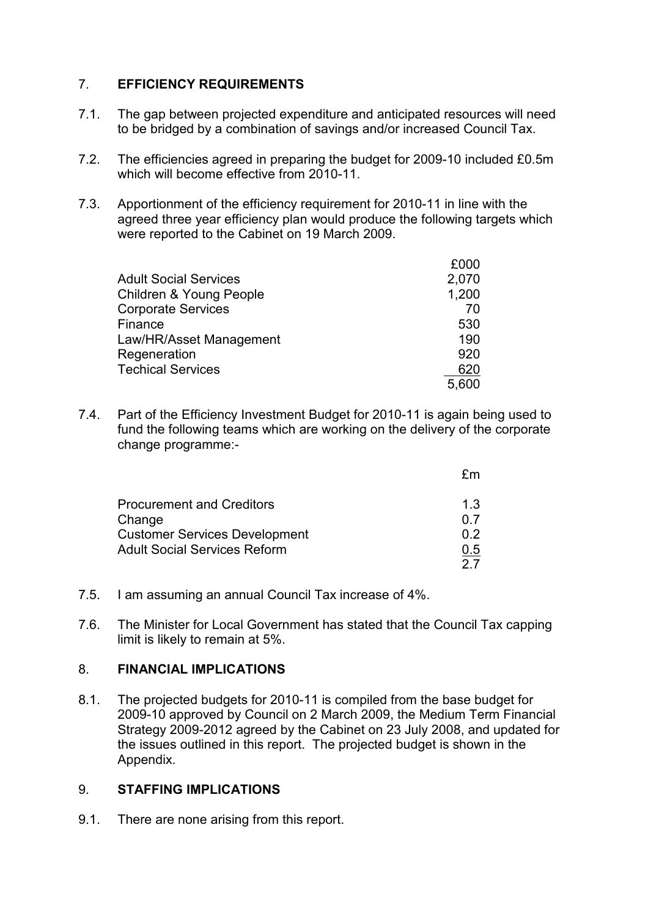# 7. EFFICIENCY REQUIREMENTS

- 7.1. The gap between projected expenditure and anticipated resources will need to be bridged by a combination of savings and/or increased Council Tax.
- 7.2. The efficiencies agreed in preparing the budget for 2009-10 included £0.5m which will become effective from 2010-11.
- 7.3. Apportionment of the efficiency requirement for 2010-11 in line with the agreed three year efficiency plan would produce the following targets which were reported to the Cabinet on 19 March 2009.

|                                    | £000  |
|------------------------------------|-------|
| <b>Adult Social Services</b>       | 2,070 |
| <b>Children &amp; Young People</b> | 1,200 |
| <b>Corporate Services</b>          | 70    |
| Finance                            | 530   |
| Law/HR/Asset Management            | 190   |
| Regeneration                       | 920   |
| <b>Techical Services</b>           | 620   |
|                                    | 5,600 |

7.4. Part of the Efficiency Investment Budget for 2010-11 is again being used to fund the following teams which are working on the delivery of the corporate change programme:-

| 1.3 |
|-----|
| 0.7 |
| በ 2 |
| 0.5 |
|     |
|     |

- 7.5. I am assuming an annual Council Tax increase of 4%.
- 7.6. The Minister for Local Government has stated that the Council Tax capping limit is likely to remain at 5%.

# 8. FINANCIAL IMPLICATIONS

8.1. The projected budgets for 2010-11 is compiled from the base budget for 2009-10 approved by Council on 2 March 2009, the Medium Term Financial Strategy 2009-2012 agreed by the Cabinet on 23 July 2008, and updated for the issues outlined in this report. The projected budget is shown in the Appendix.

# 9. STAFFING IMPLICATIONS

9.1. There are none arising from this report.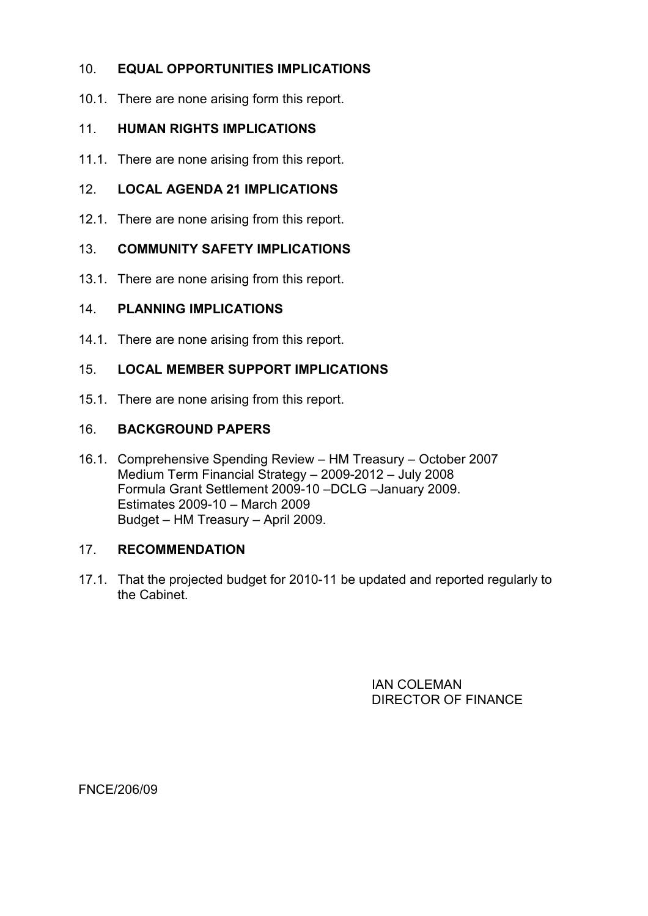# 10. EQUAL OPPORTUNITIES IMPLICATIONS

10.1. There are none arising form this report.

# 11 HUMAN RIGHTS IMPLICATIONS

11.1. There are none arising from this report.

# 12. LOCAL AGENDA 21 IMPLICATIONS

12.1. There are none arising from this report.

### 13. COMMUNITY SAFETY IMPLICATIONS

13.1. There are none arising from this report.

### 14. PLANNING IMPLICATIONS

14.1. There are none arising from this report.

# 15. LOCAL MEMBER SUPPORT IMPLICATIONS

15.1. There are none arising from this report.

### 16. BACKGROUND PAPERS

16.1. Comprehensive Spending Review – HM Treasury – October 2007 Medium Term Financial Strategy – 2009-2012 – July 2008 Formula Grant Settlement 2009-10 –DCLG –January 2009. Estimates 2009-10 – March 2009 Budget – HM Treasury – April 2009.

#### 17. RECOMMENDATION

17.1. That the projected budget for 2010-11 be updated and reported regularly to the Cabinet.

> IAN COLEMAN DIRECTOR OF FINANCE

FNCE/206/09